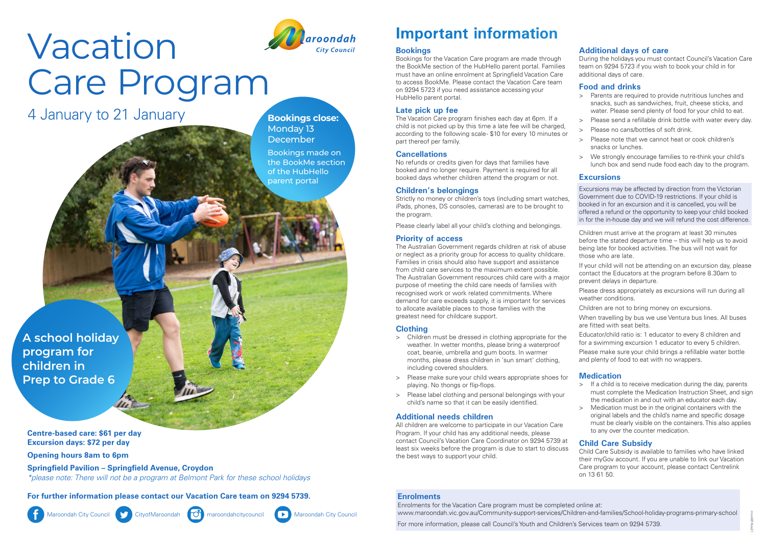## **Important information**

## **Bookings**

Bookings for the Vacation Care program are made through the BookMe section of the HubHello parent portal. Families must have an online enrolment at Springfield Vacation Care to access BookMe. Please contact the Vacation Care team on 9294 5723 if you need assistance accessing your HubHello parent portal.

## **Late pick up fee**

The Vacation Care program finishes each day at 6pm. If a child is not picked up by this time a late fee will be charged, according to the following scale - \$10 for every 10 minutes or part thereof per family.

### **Cancellations**

No refunds or credits given for days that families have booked and no longer require. Payment is required for all booked days whether children attend the program or not.

#### **Children's belongings**

Strictly no money or children's toys (including smart watches, iPads, phones, DS consoles, cameras) are to be brought to the program.

Please clearly label all your child's clothing and belongings.

#### **Priority of access**

The Australian Government regards children at risk of abuse or neglect as a priority group for access to quality childcare. Families in crisis should also have support and assistance from child care services to the maximum extent possible. The Australian Government resources child care with a major purpose of meeting the child care needs of families with recognised work or work related commitments. Where demand for care exceeds supply, it is important for services to allocate available places to those families with the greatest need for childcare support.

#### **Clothing**

- > Children must be dressed in clothing appropriate for the weather. In wetter months, please bring a waterproof coat, beanie, umbrella and gum boots. In warmer months, please dress children in 'sun smart' clothing, including covered shoulders.
- > Please make sure your child wears appropriate shoes for playing. No thongs or flip-flops.
- > Please label clothing and personal belongings with your child's name so that it can be easily identified.

#### **Additional needs children**

All children are welcome to participate in our Vacation Care Program. If your child has any additional needs, please contact Council's Vacation Care Coordinator on 9294 5739 at least six weeks before the program is due to start to discuss the best ways to support your child.

#### **Additional days of care**

During the holidays you must contact Council's Vacation Care team on 9294 5723 if you wish to book your child in for additional days of care.

#### **Food and drinks**

- > Parents are required to provide nutritious lunches and snacks, such as sandwiches, fruit, cheese sticks, and water. Please send plenty of food for your child to eat.
- > Please send a refillable drink bottle with water every day.
- > Please no cans/bottles of soft drink.
- > Please note that we cannot heat or cook children's snacks or lunches.
- > We strongly encourage families to re-think your child's lunch box and send nude food each day to the program.

#### **Excursions**

- Excursions may be affected by direction from the Victorian Government due to COVID-19 restrictions. If your child is booked in for an excursion and it is cancelled, you will be offered a refund or the opportunity to keep your child booked in for the in-house day and we will refund the cost difference.
- Children must arrive at the program at least 30 minutes before the stated departure time – this will help us to avoid being late for booked activities. The bus will not wait for those who are late.
- If your child will not be attending on an excursion day, please contact the Educators at the program before 8.30am to prevent delays in departure.
- Please dress appropriately as excursions will run during all weather conditions.
- Children are not to bring money on excursions.
- When travelling by bus we use Ventura bus lines. All buses are fitted with seat belts.
- Educator/child ratio is: 1 educator to every 8 children and for a swimming excursion 1 educator to every 5 children. Please make sure your child brings a refillable water bottle and plenty of food to eat with no wrappers.

#### **Medication**

- > If a child is to receive medication during the day, parents must complete the Medication Instruction Sheet, and sign the medication in and out with an educator each day.
- > Medication must be in the original containers with the original labels and the child's name and specific dosage must be clearly visible on the containers. This also applies to any over the counter medication.

#### **Child Care Subsidy**

Child Care Subsidy is available to families who have linked their myGov account. If you are unable to link our Vacation Care program to your account, please contact Centrelink on 13 61 50.

#### **Enrolments**

Enrolments for the Vacation Care program must be completed online at: www.maroondah.vic.gov.au/Community-support-services/Children-and-families/School-holiday-programs-primary-school

For more information, please call Council's Youth and Children's Services team on 9294 5739.

## *aroondah* **City Counc**

# Vacation Care Program

4 January to 21 January

**A school holiday program for children in Prep to Grade 6**

**Centre-based care: \$61 per day Excursion days: \$72 per day**

**Opening hours 8am to 6pm** 

**Springfield Pavilion – Springfield Avenue, Croydon** *\*please note: There will not be a program at Belmont Park for these school holidays*

**For further information please contact our Vacation Care team on 9294 5739.**



Maroondah City Council CityofMaroondah CityofMaroondah maroondahcitycouncil Maroondah City Council



**Bookings close:**  Monday 13 December

Bookings made on the BookMe section of the HubHello parent portal